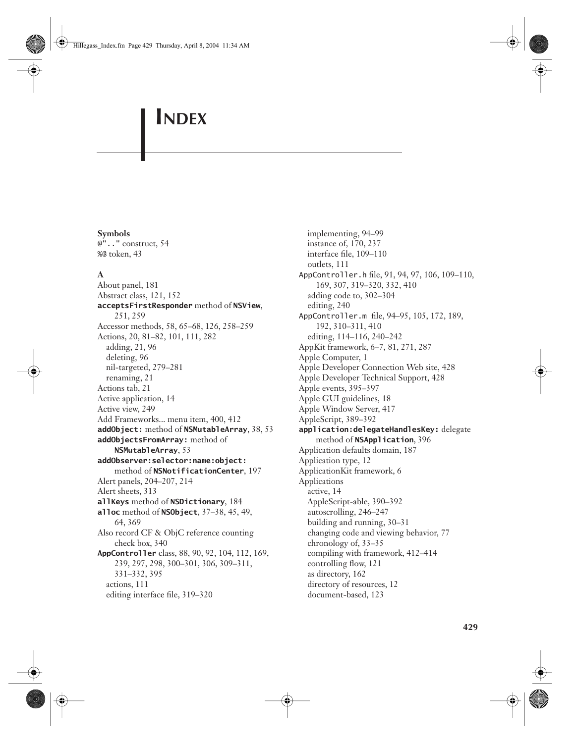## **Symbols**

@".." construct, 54 %@ token, 43

# **A**

About panel, 181 Abstract class, 121, 152 **acceptsFirstResponder** method of **NSView**, 251, 259 Accessor methods, 58, 65–68, 126, 258–259 Actions, 20, 81–82, 101, 111, 282 adding, 21, 96 deleting, 96 nil-targeted, 279–281 renaming, 21 Actions tab, 21 Active application, 14 Active view, 249 Add Frameworks... menu item, 400, 412 **addObject:** method of **NSMutableArray**, 38, 53 **addObjectsFromArray:** method of **NSMutableArray**, 53 **addObserver:selector:name:object:**  method of **NSNotificationCenter**, 197 Alert panels, 204–207, 214 Alert sheets, 313 **allKeys** method of **NSDictionary**, 184 **alloc** method of **NSObject**, 37–38, 45, 49, 64, 369 Also record CF & ObjC reference counting check box, 340 **AppController** class, 88, 90, 92, 104, 112, 169, 239, 297, 298, 300–301, 306, 309–311, 331–332, 395 actions, 111 editing interface file, 319–320

implementing, 94–99 instance of, 170, 237 interface file, 109–110 outlets, 111 AppController.h file, 91, 94, 97, 106, 109–110, 169, 307, 319–320, 332, 410 adding code to, 302–304 editing, 240 AppController.m file, 94–95, 105, 172, 189, 192, 310–311, 410 editing, 114–116, 240–242 AppKit framework, 6–7, 81, 271, 287 Apple Computer, 1 Apple Developer Connection Web site, 428 Apple Developer Technical Support, 428 Apple events, 395–397 Apple GUI guidelines, 18 Apple Window Server, 417 AppleScript, 389–392 **application:delegateHandlesKey:** delegate method of **NSApplication**, 396 Application defaults domain, 187 Application type, 12 ApplicationKit framework, 6 Applications active, 14 AppleScript-able, 390–392 autoscrolling, 246–247 building and running, 30–31 changing code and viewing behavior, 77 chronology of, 33–35 compiling with framework, 412–414 controlling flow, 121 as directory, 162 directory of resources, 12 document-based, 123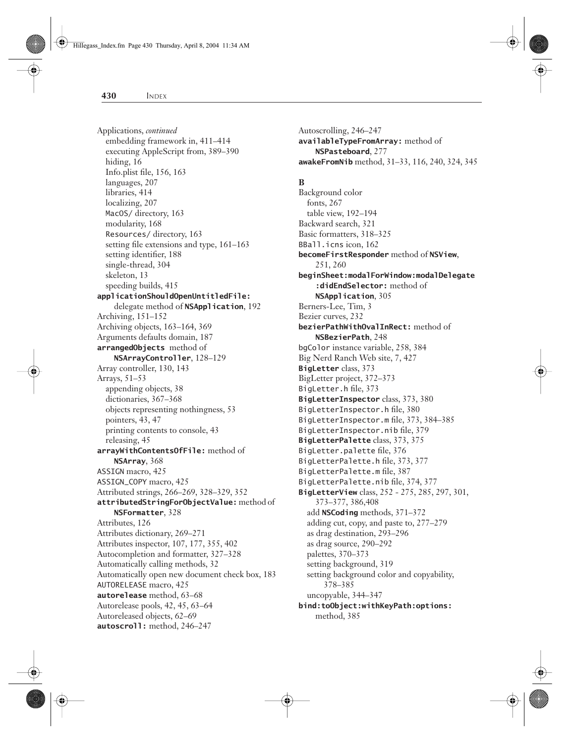Applications, *continued* embedding framework in, 411–414 executing AppleScript from, 389–390 hiding, 16 Info.plist file, 156, 163 languages, 207 libraries, 414 localizing, 207 MacOS/ directory, 163 modularity, 168 Resources/ directory, 163 setting file extensions and type, 161–163 setting identifier, 188 single-thread, 304 skeleton, 13 speeding builds, 415 **applicationShouldOpenUntitledFile:** delegate method of **NSApplication**, 192 Archiving, 151–152 Archiving objects, 163–164, 369 Arguments defaults domain, 187 **arrangedObjects** method of **NSArrayController**, 128–129 Array controller, 130, 143 Arrays, 51–53 appending objects, 38 dictionaries, 367–368 objects representing nothingness, 53 pointers, 43, 47 printing contents to console, 43 releasing, 45 **arrayWithContentsOfFile:** method of **NSArray**, 368 ASSIGN macro, 425 ASSIGN\_COPY macro, 425 Attributed strings, 266–269, 328–329, 352 **attributedStringForObjectValue:** method of **NSFormatter**, 328 Attributes, 126 Attributes dictionary, 269–271 Attributes inspector, 107, 177, 355, 402 Autocompletion and formatter, 327–328 Automatically calling methods, 32 Automatically open new document check box, 183 AUTORELEASE macro, 425 **autorelease** method, 63–68 Autorelease pools, 42, 45, 63–64 Autoreleased objects, 62–69 **autoscroll:** method, 246–247

Autoscrolling, 246–247 **availableTypeFromArray:** method of **NSPasteboard**, 277 **awakeFromNib** method, 31–33, 116, 240, 324, 345

#### **B**

Background color fonts, 267 table view, 192–194 Backward search, 321 Basic formatters, 318–325 BBall.icns icon, 162 **becomeFirstResponder** method of **NSView**, 251, 260 **beginSheet:modalForWindow:modalDelegate :didEndSelector:** method of **NSApplication**, 305 Berners-Lee, Tim, 3 Bezier curves, 232 **bezierPathWithOvalInRect:** method of **NSBezierPath**, 248 bgColor instance variable, 258, 384 Big Nerd Ranch Web site, 7, 427 **BigLetter** class, 373 BigLetter project, 372–373 BigLetter.h file, 373 **BigLetterInspector** class, 373, 380 BigLetterInspector.h file, 380 BigLetterInspector.m file, 373, 384–385 BigLetterInspector.nib file, 379 **BigLetterPalette** class, 373, 375 BigLetter.palette file, 376 BigLetterPalette.h file, 373, 377 BigLetterPalette.m file, 387 BigLetterPalette.nib file, 374, 377 **BigLetterView** class, 252 - 275, 285, 297, 301, 373–377, 386,408 add **NSCoding** methods, 371–372 adding cut, copy, and paste to, 277–279 as drag destination, 293–296 as drag source, 290–292 palettes, 370–373 setting background, 319 setting background color and copyability, 378–385 uncopyable, 344–347 **bind:toObject:withKeyPath:options:** method, 385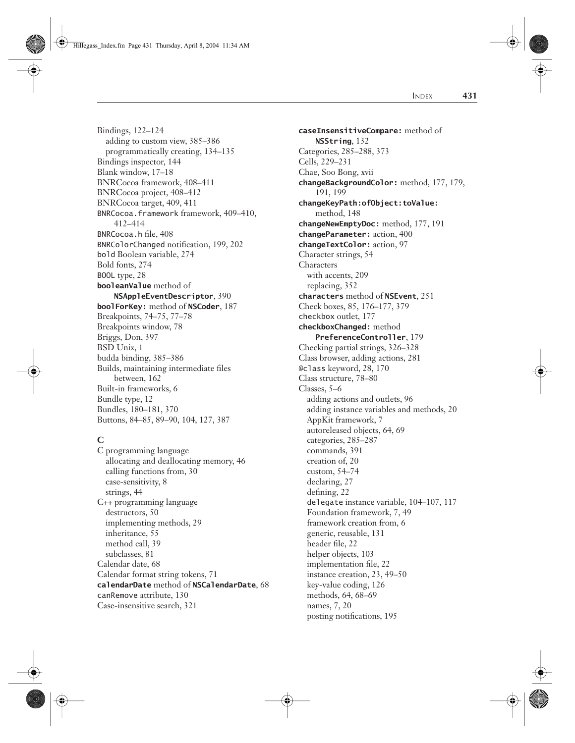Hillegass\_Index.fm Page 431 Thursday, April 8, 2004 11:34 AM

Bindings, 122–124

INDEX **431**

adding to custom view, 385–386 programmatically creating, 134–135 Bindings inspector, 144 Blank window, 17–18 BNRCocoa framework, 408–411 BNRCocoa project, 408–412 BNRCocoa target, 409, 411 BNRCocoa.framework framework, 409–410, 412–414 BNRCocoa.h file, 408 BNRColorChanged notification, 199, 202 bold Boolean variable, 274 Bold fonts, 274 BOOL type, 28 **booleanValue** method of **NSAppleEventDescriptor**, 390 **boolForKey:** method of **NSCoder**, 187 Breakpoints, 74–75, 77–78 Breakpoints window, 78 Briggs, Don, 397 BSD Unix, 1 budda binding, 385–386 Builds, maintaining intermediate files between, 162 Built-in frameworks, 6 Bundle type, 12 Bundles, 180–181, 370 Buttons, 84–85, 89–90, 104, 127, 387

# **C**

C programming language allocating and deallocating memory, 46 calling functions from, 30 case-sensitivity, 8 strings, 44 C++ programming language destructors, 50 implementing methods, 29 inheritance, 55 method call, 39 subclasses, 81 Calendar date, 68 Calendar format string tokens, 71 **calendarDate** method of **NSCalendarDate**, 68 canRemove attribute, 130 Case-insensitive search, 321

**caseInsensitiveCompare:** method of **NSString**, 132 Categories, 285–288, 373 Cells, 229–231 Chae, Soo Bong, xvii **changeBackgroundColor:** method, 177, 179, 191, 199 **changeKeyPath:ofObject:toValue:** method, 148 **changeNewEmptyDoc:** method, 177, 191 **changeParameter:** action, 400 **changeTextColor:** action, 97 Character strings, 54 Characters with accents, 209 replacing, 352 **characters** method of **NSEvent**, 251 Check boxes, 85, 176–177, 379 checkbox outlet, 177 **checkboxChanged:** method **PreferenceController**, 179 Checking partial strings, 326–328 Class browser, adding actions, 281 @class keyword, 28, 170 Class structure, 78–80 Classes, 5–6 adding actions and outlets, 96 adding instance variables and methods, 20 AppKit framework, 7 autoreleased objects, 64, 69 categories, 285–287 commands, 391 creation of, 20 custom, 54–74 declaring, 27 defining, 22 delegate instance variable, 104–107, 117 Foundation framework, 7, 49 framework creation from, 6 generic, reusable, 131 header file, 22 helper objects, 103 implementation file, 22 instance creation, 23, 49–50 key-value coding, 126 methods, 64, 68–69 names, 7, 20 posting notifications, 195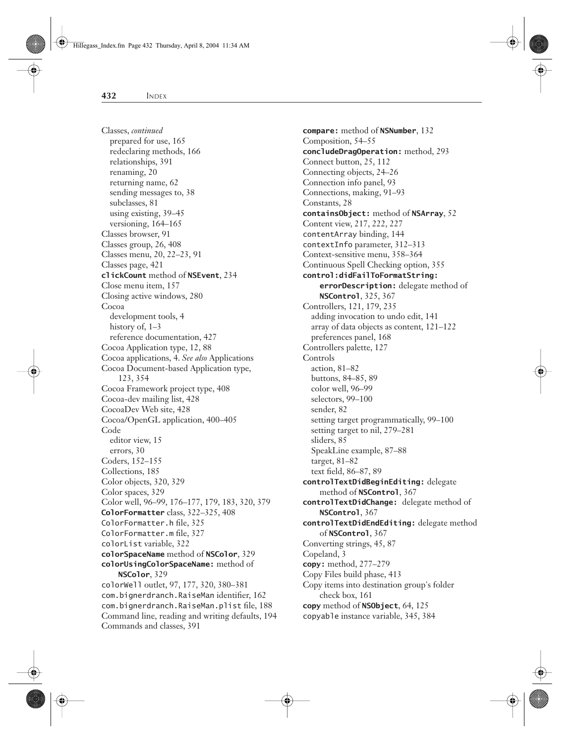Classes, *continued* prepared for use, 165 redeclaring methods, 166 relationships, 391 renaming, 20 returning name, 62 sending messages to, 38 subclasses, 81 using existing, 39–45 versioning, 164–165 Classes browser, 91 Classes group, 26, 408 Classes menu, 20, 22–23, 91 Classes page, 421 **clickCount** method of **NSEvent**, 234 Close menu item, 157 Closing active windows, 280 Cocoa development tools, 4 history of,  $1-3$ reference documentation, 427 Cocoa Application type, 12, 88 Cocoa applications, 4. *See also* Applications Cocoa Document-based Application type, 123, 354 Cocoa Framework project type, 408 Cocoa-dev mailing list, 428 CocoaDev Web site, 428 Cocoa/OpenGL application, 400–405 Code editor view, 15 errors, 30 Coders, 152–155 Collections, 185 Color objects, 320, 329 Color spaces, 329 Color well, 96–99, 176–177, 179, 183, 320, 379 **ColorFormatter** class, 322–325, 408 ColorFormatter.h file, 325 ColorFormatter.m file, 327 colorList variable, 322 **colorSpaceName** method of **NSColor**, 329 **colorUsingColorSpaceName:** method of **NSColor**, 329 colorWell outlet, 97, 177, 320, 380–381 com.bignerdranch.RaiseMan identifier, 162 com.bignerdranch.RaiseMan.plist file, 188 Command line, reading and writing defaults, 194

Commands and classes, 391

**compare:** method of **NSNumber**, 132 Composition, 54–55 **concludeDragOperation:** method, 293 Connect button, 25, 112 Connecting objects, 24–26 Connection info panel, 93 Connections, making, 91–93 Constants, 28 **containsObject:** method of **NSArray**, 52 Content view, 217, 222, 227 contentArray binding, 144 contextInfo parameter, 312–313 Context-sensitive menu, 358–364 Continuous Spell Checking option, 355 **control:didFailToFormatString: errorDescription:** delegate method of **NSControl**, 325, 367 Controllers, 121, 179, 235 adding invocation to undo edit, 141 array of data objects as content, 121–122 preferences panel, 168 Controllers palette, 127 Controls action, 81–82 buttons, 84–85, 89 color well, 96–99 selectors, 99–100 sender, 82 setting target programmatically, 99–100 setting target to nil, 279–281 sliders, 85 SpeakLine example, 87–88 target, 81–82 text field, 86–87, 89 **controlTextDidBeginEditing:** delegate method of **NSControl**, 367 **controlTextDidChange:** delegate method of **NSControl**, 367 **controlTextDidEndEditing:** delegate method of **NSControl**, 367 Converting strings, 45, 87 Copeland, 3 **copy:** method, 277–279 Copy Files build phase, 413 Copy items into destination group's folder check box, 161 **copy** method of **NSObject**, 64, 125 copyable instance variable, 345, 384

Hillegass\_Index.fm Page 432 Thursday, April 8, 2004 11:34 AM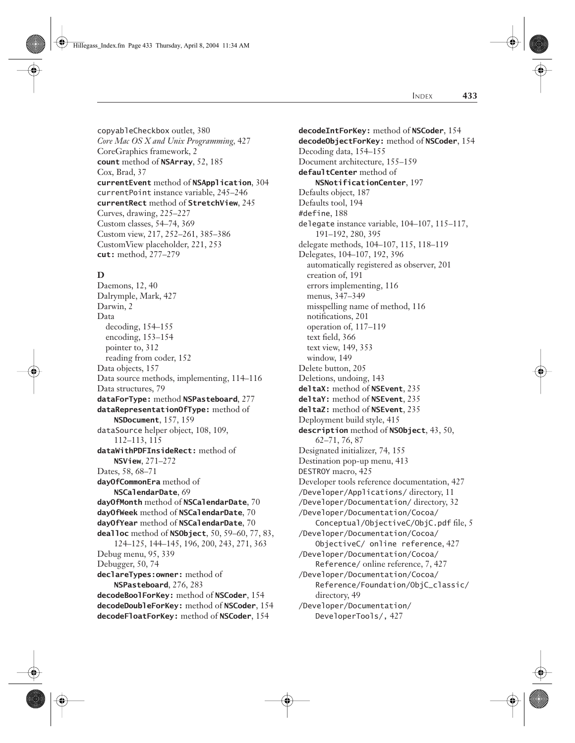copyableCheckbox outlet, 380 *Core Mac OS X and Unix Programming,* 427 CoreGraphics framework, 2 **count** method of **NSArray**, 52, 185 Cox, Brad, 37 **currentEvent** method of **NSApplication**, 304 currentPoint instance variable, 245–246 **currentRect** method of **StretchView**, 245 Curves, drawing, 225–227 Custom classes, 54–74, 369 Custom view, 217, 252–261, 385–386 CustomView placeholder, 221, 253 **cut:** method, 277–279

# **D**

Daemons, 12, 40 Dalrymple, Mark, 427 Darwin, 2 Data decoding, 154–155 encoding, 153–154 pointer to, 312 reading from coder, 152 Data objects, 157 Data source methods, implementing, 114–116 Data structures, 79 **dataForType:** method **NSPasteboard**, 277 **dataRepresentationOfType:** method of **NSDocument**, 157, 159 dataSource helper object, 108, 109, 112–113, 115 **dataWithPDFInsideRect:** method of **NSView**, 271–272 Dates, 58, 68–71 **dayOfCommonEra** method of **NSCalendarDate**, 69 **dayOfMonth** method of **NSCalendarDate**, 70 **dayOfWeek** method of **NSCalendarDate**, 70 **dayOfYear** method of **NSCalendarDate**, 70 **dealloc** method of **NSObject**, 50, 59–60, 77, 83, 124–125, 144–145, 196, 200, 243, 271, 363 Debug menu, 95, 339 Debugger, 50, 74 **declareTypes:owner:** method of **NSPasteboard**, 276, 283 **decodeBoolForKey:** method of **NSCoder**, 154 **decodeDoubleForKey:** method of **NSCoder**, 154 **decodeFloatForKey:** method of **NSCoder**, 154

**decodeIntForKey:** method of **NSCoder**, 154 **decodeObjectForKey:** method of **NSCoder**, 154 Decoding data, 154–155 Document architecture, 155–159 **defaultCenter** method of **NSNotificationCenter**, 197 Defaults object, 187 Defaults tool, 194 #define, 188 delegate instance variable, 104–107, 115–117, 191–192, 280, 395 delegate methods, 104–107, 115, 118–119 Delegates, 104–107, 192, 396 automatically registered as observer, 201 creation of, 191 errors implementing, 116 menus, 347–349 misspelling name of method, 116 notifications, 201 operation of, 117–119 text field, 366 text view, 149, 353 window, 149 Delete button, 205 Deletions, undoing, 143 **deltaX:** method of **NSEvent**, 235 **deltaY:** method of **NSEvent**, 235 **deltaZ:** method of **NSEvent**, 235 Deployment build style, 415 **description** method of **NSObject**, 43, 50, 62–71, 76, 87 Designated initializer, 74, 155 Destination pop-up menu, 413 DESTROY macro, 425 Developer tools reference documentation, 427 /Developer/Applications/ directory, 11 /Developer/Documentation/ directory, 32 /Developer/Documentation/Cocoa/ Conceptual/ObjectiveC/ObjC.pdf file, 5 /Developer/Documentation/Cocoa/ ObjectiveC/ online reference, 427 /Developer/Documentation/Cocoa/ Reference/ online reference, 7, 427 /Developer/Documentation/Cocoa/ Reference/Foundation/ObjC\_classic/ directory, 49 /Developer/Documentation/ DeveloperTools/, 427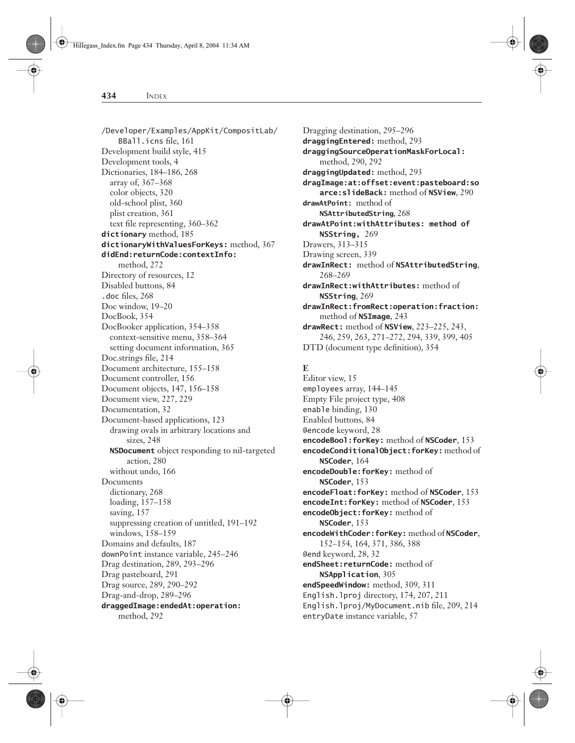/Developer/Examples/AppKit/CompositLab/ BBall.icns file, 161 Development build style, 415 Development tools, 4 Dictionaries, 184–186, 268 array of, 367–368 color objects, 320 old-school plist, 360 plist creation, 361 text file representing, 360–362 **dictionary** method, 185 **dictionaryWithValuesForKeys:** method, 367 **didEnd:returnCode:contextInfo:** method, 272 Directory of resources, 12 Disabled buttons, 84 .doc files, 268 Doc window, 19–20 DocBook, 354 DocBooker application, 354–358 context-sensitive menu, 358–364 setting document information, 365 Doc.strings file, 214 Document architecture, 155–158 Document controller, 156 Document objects, 147, 156–158 Document view, 227, 229 Documentation, 32 Document-based applications, 123 drawing ovals in arbitrary locations and sizes, 248 **NSDocument** object responding to nil-targeted action, 280 without undo, 166 **Documents** dictionary, 268 loading, 157–158 saving, 157 suppressing creation of untitled, 191–192 windows, 158–159 Domains and defaults, 187 downPoint instance variable, 245–246 Drag destination, 289, 293–296 Drag pasteboard, 291 Drag source, 289, 290–292 Drag-and-drop, 289–296 **draggedImage:endedAt:operation:** method, 292

Dragging destination, 295–296 **draggingEntered:** method, 293 **draggingSourceOperationMaskForLocal:** method, 290, 292 **draggingUpdated:** method, 293 **dragImage:at:offset:event:pasteboard:so arce:slideBack:** method of **NSView**, 290 **drawAtPoint:** method of **NSAttributedString**, 268 **drawAtPoint:withAttributes: method of NSString,** 269 Drawers, 313–315 Drawing screen, 339 **drawInRect:** method of **NSAttributedString**, 268–269 **drawInRect:withAttributes:** method of **NSString**, 269 **drawInRect:fromRect:operation:fraction:** method of **NSImage**, 243 **drawRect:** method of **NSView**, 223–225, 243, 246, 259, 263, 271–272, 294, 339, 399, 405

DTD (document type definition), 354

# **E**

Editor view, 15 employees array, 144–145 Empty File project type, 408 enable binding, 130 Enabled buttons, 84 @encode keyword, 28 **encodeBool:forKey:** method of **NSCoder**, 153 **encodeConditionalObject:forKey:** method of **NSCoder**, 164 **encodeDouble:forKey:** method of **NSCoder**, 153 **encodeFloat:forKey:** method of **NSCoder**, 153 **encodeInt:forKey:** method of **NSCoder**, 153 **encodeObject:forKey:** method of **NSCoder**, 153 **encodeWithCoder:forKey:** method of **NSCoder**, 152–154, 164, 371, 386, 388 @end keyword, 28, 32 **endSheet:returnCode:** method of **NSApplication**, 305 **endSpeedWindow:** method, 309, 311 English.lproj directory, 174, 207, 211 English.lproj/MyDocument.nib file, 209, 214 entryDate instance variable, 57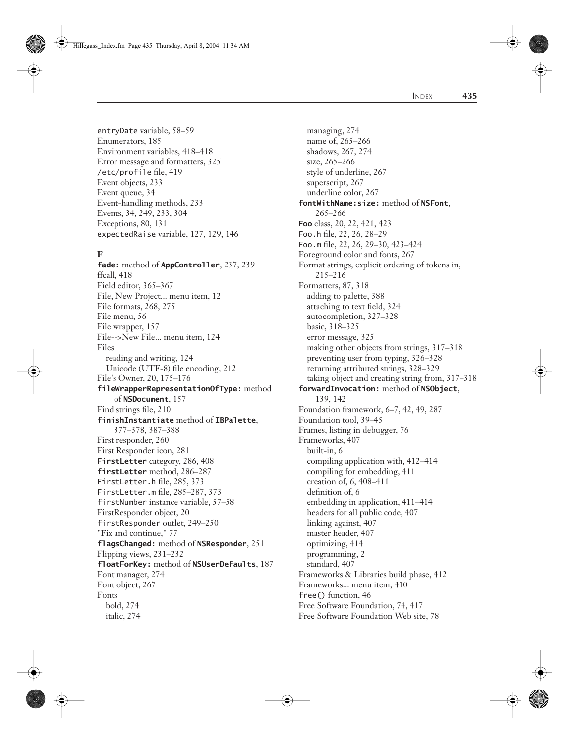Hillegass\_Index.fm Page 435 Thursday, April 8, 2004 11:34 AM

INDEX **435**

entryDate variable, 58–59 Enumerators, 185 Environment variables, 418–418 Error message and formatters, 325 /etc/profile file, 419 Event objects, 233 Event queue, 34 Event-handling methods, 233 Events, 34, 249, 233, 304 Exceptions, 80, 131 expectedRaise variable, 127, 129, 146

# **F**

**fade:** method of **AppController**, 237, 239 ffcall, 418 Field editor, 365–367 File, New Project... menu item, 12 File formats, 268, 275 File menu, 56 File wrapper, 157 File-->New File... menu item, 124 Files reading and writing, 124 Unicode (UTF-8) file encoding, 212 File's Owner, 20, 175–176 **fileWrapperRepresentationOfType:** method of **NSDocument**, 157 Find.strings file, 210 **finishInstantiate** method of **IBPalette**, 377–378, 387–388 First responder, 260 First Responder icon, 281 **FirstLetter** category, 286, 408 **firstLetter** method, 286–287 FirstLetter.h file, 285, 373 FirstLetter.m file, 285–287, 373 firstNumber instance variable, 57–58 FirstResponder object, 20 firstResponder outlet, 249–250 "Fix and continue," 77 **flagsChanged:** method of **NSResponder**, 251 Flipping views, 231–232 **floatForKey:** method of **NSUserDefaults**, 187 Font manager, 274 Font object, 267 Fonts bold, 274 italic, 274

managing, 274 name of, 265–266 shadows, 267, 274 size, 265–266 style of underline, 267 superscript, 267 underline color, 267 **fontWithName:size:** method of **NSFont**, 265–266 **Foo** class, 20, 22, 421, 423 Foo.h file, 22, 26, 28–29 Foo.m file, 22, 26, 29–30, 423–424 Foreground color and fonts, 267 Format strings, explicit ordering of tokens in, 215–216 Formatters, 87, 318 adding to palette, 388 attaching to text field, 324 autocompletion, 327–328 basic, 318–325 error message, 325 making other objects from strings, 317–318 preventing user from typing, 326–328 returning attributed strings, 328–329 taking object and creating string from, 317–318 **forwardInvocation:** method of **NSObject**, 139, 142 Foundation framework, 6–7, 42, 49, 287 Foundation tool, 39–45 Frames, listing in debugger, 76 Frameworks, 407 built-in, 6 compiling application with, 412–414 compiling for embedding, 411 creation of, 6, 408–411 definition of, 6 embedding in application, 411–414 headers for all public code, 407 linking against, 407 master header, 407 optimizing, 414 programming, 2 standard, 407 Frameworks & Libraries build phase, 412 Frameworks... menu item, 410 free() function, 46 Free Software Foundation, 74, 417 Free Software Foundation Web site, 78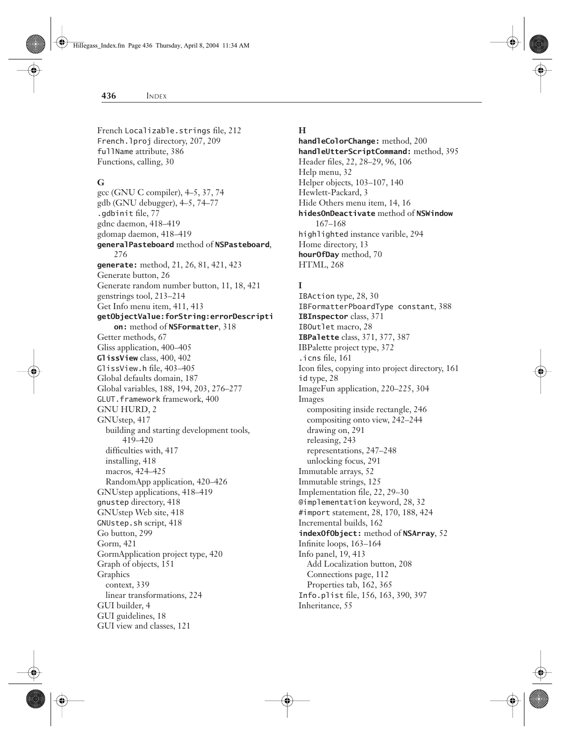French Localizable.strings file, 212 French.lproj directory, 207, 209 fullName attribute, 386 Functions, calling, 30

### **G**

gcc (GNU C compiler), 4–5, 37, 74 gdb (GNU debugger), 4–5, 74–77 .gdbinit file, 77 gdnc daemon, 418–419 gdomap daemon, 418–419 **generalPasteboard** method of **NSPasteboard**, 276 **generate:** method, 21, 26, 81, 421, 423 Generate button, 26 Generate random number button, 11, 18, 421 genstrings tool, 213–214 Get Info menu item, 411, 413 **getObjectValue:forString:errorDescripti on:** method of **NSFormatter**, 318 Getter methods, 67 Gliss application, 400–405 **GlissView** class, 400, 402 GlissView.h file, 403–405 Global defaults domain, 187 Global variables, 188, 194, 203, 276–277 GLUT.framework framework, 400 GNU HURD, 2 GNUstep, 417 building and starting development tools, 419–420 difficulties with, 417 installing, 418 macros, 424–425 RandomApp application, 420–426 GNUstep applications, 418–419 gnustep directory, 418 GNUstep Web site, 418 GNUstep.sh script, 418 Go button, 299 Gorm, 421 GormApplication project type, 420 Graph of objects, 151 Graphics context, 339 linear transformations, 224 GUI builder, 4 GUI guidelines, 18 GUI view and classes, 121

#### **H**

**handleColorChange:** method, 200 **handleUtterScriptCommand:** method, 395 Header files, 22, 28–29, 96, 106 Help menu, 32 Helper objects, 103–107, 140 Hewlett-Packard, 3 Hide Others menu item, 14, 16 **hidesOnDeactivate** method of **NSWindow** 167–168 highlighted instance varible, 294 Home directory, 13 **hourOfDay** method, 70 HTML, 268

# **I**

IBAction type, 28, 30 IBFormatterPboardType constant, 388 **IBInspector** class, 371 IBOutlet macro, 28 **IBPalette** class, 371, 377, 387 IBPalette project type, 372 .icns file, 161 Icon files, copying into project directory, 161 id type, 28 ImageFun application, 220–225, 304 Images compositing inside rectangle, 246 compositing onto view, 242–244 drawing on, 291 releasing, 243 representations, 247–248 unlocking focus, 291 Immutable arrays, 52 Immutable strings, 125 Implementation file, 22, 29–30 @implementation keyword, 28, 32 #import statement, 28, 170, 188, 424 Incremental builds, 162 **indexOfObject:** method of **NSArray**, 52 Infinite loops, 163–164 Info panel, 19, 413 Add Localization button, 208 Connections page, 112 Properties tab, 162, 365 Info.plist file, 156, 163, 390, 397 Inheritance, 55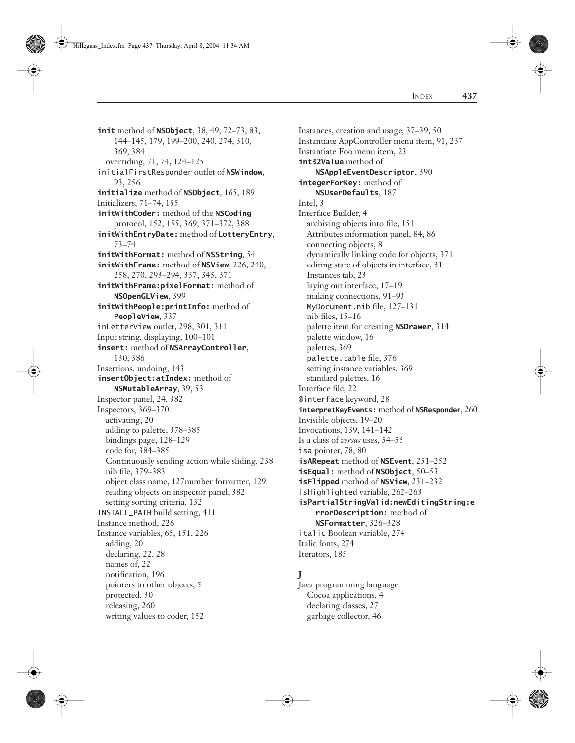**init** method of **NSObject**, 38, 49, 72–73, 83, 144–145, 179, 199–200, 240, 274, 310, 369, 384 overriding, 71, 74, 124–125 initialFirstResponder outlet of **NSWindow**, 93, 256 **initialize** method of **NSObject**, 165, 189 Initializers, 71–74, 155 **initWithCoder:** method of the **NSCoding** protocol, 152, 155, 369, 371–372, 388 **initWithEntryDate:** method of **LotteryEntry**, 73–74 **initWithFormat:** method of **NSString**, 54 **initWithFrame:** method of **NSView**, 226, 240, 258, 270, 293–294, 337, 345, 371 **initWithFrame:pixelFormat:** method of **NSOpenGLView**, 399 **initWithPeople:printInfo:** method of **PeopleView**, 337 inLetterView outlet, 298, 301, 311 Input string, displaying, 100–101 **insert:** method of **NSArrayController**, 130, 386 Insertions, undoing, 143 **insertObject:atIndex:** method of **NSMutableArray**, 39, 53 Inspector panel, 24, 382 Inspectors, 369–370 activating, 20 adding to palette, 378–385 bindings page, 128–129 code for, 384–385 Continuously sending action while sliding, 238 nib file, 379–383 object class name, 127number formatter, 129 reading objects on inspector panel, 382 setting sorting criteria, 132 INSTALL\_PATH build setting, 411 Instance method, 226 Instance variables, 65, 151, 226 adding, 20 declaring, 22, 28 names of, 22 notification, 196 pointers to other objects, 5 protected, 30 releasing, 260 writing values to coder, 152

Instances, creation and usage, 37–39, 50 Instantiate AppController menu item, 91, 237 Instantiate Foo menu item, 23 **int32Value** method of **NSAppleEventDescriptor**, 390 **integerForKey:** method of **NSUserDefaults**, 187 Intel, 3 Interface Builder, 4 archiving objects into file, 151 Attributes information panel, 84, 86 connecting objects, 8 dynamically linking code for objects, 371 editing state of objects in interface, 31 Instances tab, 23 laying out interface, 17–19 making connections, 91–93 MyDocument.nib file, 127–131 nib files, 15–16 palette item for creating **NSDrawer**, 314 palette window, 16 palettes, 369 palette.table file, 376 setting instance variables, 369 standard palettes, 16 Interface file, 22 @interface keyword, 28 **interpretKeyEvents:** method of **NSResponder**, 260 Invisible objects, 19–20 Invocations, 139, 141–142 Is a class of *versus* uses, 54–55 isa pointer, 78, 80 **isARepeat** method of **NSEvent**, 251–252 **isEqual:** method of **NSObject**, 50–53 **isFlipped** method of **NSView**, 231–232 isHighlighted variable, 262–263 **isPartialStringValid:newEditingString:e rrorDescription:** method of **NSFormatter**, 326–328 italic Boolean variable, 274 Italic fonts, 274 Iterators, 185

# **J**

Java programming language Cocoa applications, 4 declaring classes, 27 garbage collector, 46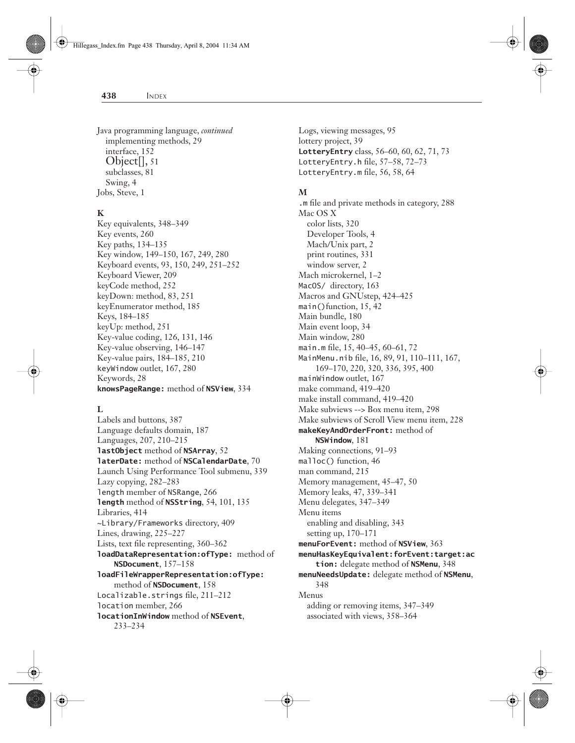Java programming language, *continued* implementing methods, 29 interface, 152 Object[], 51 subclasses, 81 Swing, 4 Jobs, Steve, 1

Hillegass\_Index.fm Page 438 Thursday, April 8, 2004 11:34 AM

# **K**

Key equivalents, 348–349 Key events, 260 Key paths, 134–135 Key window, 149–150, 167, 249, 280 Keyboard events, 93, 150, 249, 251–252 Keyboard Viewer, 209 keyCode method, 252 keyDown: method, 83, 251 keyEnumerator method, 185 Keys, 184–185 keyUp: method, 251 Key-value coding, 126, 131, 146 Key-value observing, 146–147 Key-value pairs, 184–185, 210 keyWindow outlet, 167, 280 Keywords, 28 **knowsPageRange:** method of **NSView**, 334

#### **L**

Labels and buttons, 387 Language defaults domain, 187 Languages, 207, 210–215 **lastObject** method of **NSArray**, 52 **laterDate:** method of **NSCalendarDate**, 70 Launch Using Performance Tool submenu, 339 Lazy copying, 282–283 length member of NSRange, 266 **length** method of **NSString**, 54, 101, 135 Libraries, 414 ~Library/Frameworks directory, 409 Lines, drawing, 225–227 Lists, text file representing, 360–362 **loadDataRepresentation:ofType:** method of **NSDocument**, 157–158 **loadFileWrapperRepresentation:ofType:** method of **NSDocument**, 158 Localizable.strings file, 211–212 location member, 266 **locationInWindow** method of **NSEvent**, 233–234

Logs, viewing messages, 95 lottery project, 39 **LotteryEntry** class, 56–60, 60, 62, 71, 73 LotteryEntry.h file, 57–58, 72–73 LotteryEntry.m file, 56, 58, 64

#### **M**

.m file and private methods in category, 288 Mac OS X color lists, 320 Developer Tools, 4 Mach/Unix part, 2 print routines, 331 window server, 2 Mach microkernel, 1–2 MacOS/ directory, 163 Macros and GNUstep, 424–425 main()function, 15, 42 Main bundle, 180 Main event loop, 34 Main window, 280 main.m file, 15, 40–45, 60–61, 72 MainMenu.nib file, 16, 89, 91, 110–111, 167, 169–170, 220, 320, 336, 395, 400 mainWindow outlet, 167 make command, 419–420 make install command, 419–420 Make subviews --> Box menu item, 298 Make subviews of Scroll View menu item, 228 **makeKeyAndOrderFront:** method of **NSWindow**, 181 Making connections, 91–93 malloc() function, 46 man command, 215 Memory management, 45–47, 50 Memory leaks, 47, 339–341 Menu delegates, 347–349 Menu items enabling and disabling, 343 setting up, 170–171 **menuForEvent:** method of **NSView**, 363 **menuHasKeyEquivalent:forEvent:target:ac tion:** delegate method of **NSMenu**, 348 **menuNeedsUpdate:** delegate method of **NSMenu**, 348 Menus adding or removing items, 347–349 associated with views, 358–364

#### **438** INDEX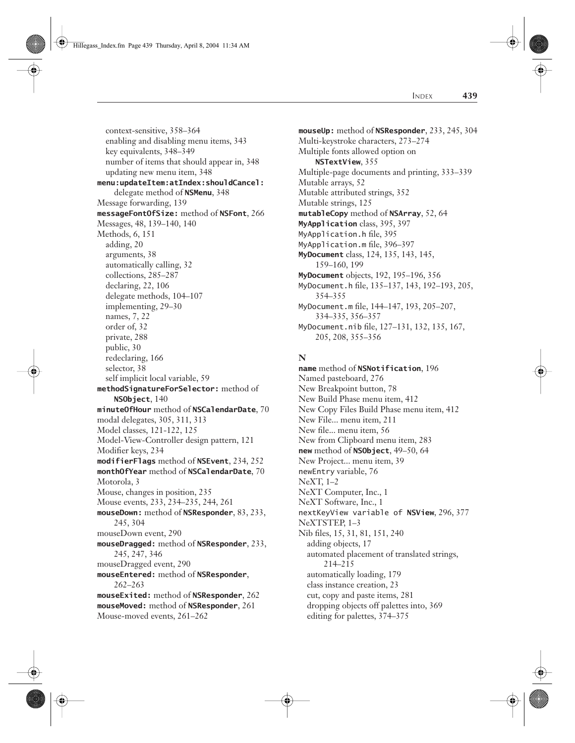Hillegass\_Index.fm Page 439 Thursday, April 8, 2004 11:34 AM

INDEX **439**

context-sensitive, 358–364 enabling and disabling menu items, 343 key equivalents, 348–349 number of items that should appear in, 348 updating new menu item, 348 **menu:updateItem:atIndex:shouldCancel:** delegate method of **NSMenu**, 348 Message forwarding, 139 **messageFontOfSize:** method of **NSFont**, 266 Messages, 48, 139–140, 140 Methods, 6, 151 adding, 20 arguments, 38 automatically calling, 32 collections, 285–287 declaring, 22, 106 delegate methods, 104–107 implementing, 29–30 names, 7, 22 order of, 32 private, 288 public, 30 redeclaring, 166 selector, 38 self implicit local variable, 59 **methodSignatureForSelector:** method of **NSObject**, 140 **minuteOfHour** method of **NSCalendarDate**, 70 modal delegates, 305, 311, 313 Model classes, 121-122, 125 Model-View-Controller design pattern, 121 Modifier keys, 234 **modifierFlags** method of **NSEvent**, 234, 252 **monthOfYear** method of **NSCalendarDate**, 70 Motorola, 3 Mouse, changes in position, 235 Mouse events, 233, 234–235, 244, 261 **mouseDown:** method of **NSResponder**, 83, 233, 245, 304 mouseDown event, 290 **mouseDragged:** method of **NSResponder**, 233, 245, 247, 346 mouseDragged event, 290 **mouseEntered:** method of **NSResponder**, 262–263 **mouseExited:** method of **NSResponder**, 262 **mouseMoved:** method of **NSResponder**, 261 Mouse-moved events, 261–262

**mouseUp:** method of **NSResponder**, 233, 245, 304 Multi-keystroke characters, 273–274 Multiple fonts allowed option on **NSTextView**, 355 Multiple-page documents and printing, 333–339 Mutable arrays, 52 Mutable attributed strings, 352 Mutable strings, 125 **mutableCopy** method of **NSArray**, 52, 64 **MyApplication** class, 395, 397 MyApplication.h file, 395 MyApplication.m file, 396–397 **MyDocument** class, 124, 135, 143, 145, 159–160, 199 **MyDocument** objects, 192, 195–196, 356 MyDocument.h file, 135–137, 143, 192–193, 205, 354–355 MyDocument.m file, 144–147, 193, 205–207, 334–335, 356–357 MyDocument.nib file, 127–131, 132, 135, 167, 205, 208, 355–356

### **N**

**name** method of **NSNotification**, 196 Named pasteboard, 276 New Breakpoint button, 78 New Build Phase menu item, 412 New Copy Files Build Phase menu item, 412 New File... menu item, 211 New file... menu item, 56 New from Clipboard menu item, 283 **new** method of **NSObject**, 49–50, 64 New Project... menu item, 39 newEntry variable, 76 NeXT, 1–2 NeXT Computer, Inc., 1 NeXT Software, Inc., 1 nextKeyView variable of **NSView**, 296, 377 NeXTSTEP, 1–3 Nib files, 15, 31, 81, 151, 240 adding objects, 17 automated placement of translated strings, 214–215 automatically loading, 179 class instance creation, 23 cut, copy and paste items, 281 dropping objects off palettes into, 369 editing for palettes, 374–375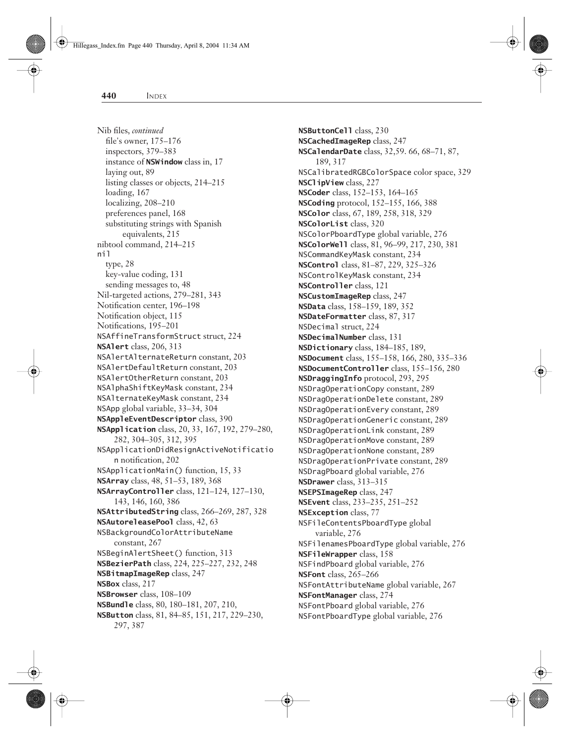Nib files, *continued* file's owner, 175–176 inspectors, 379–383 instance of **NSWindow** class in, 17 laying out, 89 listing classes or objects, 214–215 loading, 167 localizing, 208–210 preferences panel, 168 substituting strings with Spanish equivalents, 215 nibtool command, 214–215 nil type, 28 key-value coding, 131 sending messages to, 48 Nil-targeted actions, 279–281, 343 Notification center, 196–198 Notification object, 115 Notifications, 195–201 NSAffineTransformStruct struct, 224 **NSAlert** class, 206, 313 NSAlertAlternateReturn constant, 203 NSAlertDefaultReturn constant, 203 NSAlertOtherReturn constant, 203 NSAlphaShiftKeyMask constant, 234 NSAlternateKeyMask constant, 234 NSApp global variable, 33–34, 304 **NSAppleEventDescriptor** class, 390 **NSApplication** class, 20, 33, 167, 192, 279–280, 282, 304–305, 312, 395 NSApplicationDidResignActiveNotificatio n notification, 202 NSApplicationMain() function, 15, 33 **NSArray** class, 48, 51–53, 189, 368 **NSArrayController** class, 121–124, 127–130, 143, 146, 160, 386 **NSAttributedString** class, 266–269, 287, 328 **NSAutoreleasePool** class, 42, 63 NSBackgroundColorAttributeName constant, 267 NSBeginAlertSheet() function, 313 **NSBezierPath** class, 224, 225–227, 232, 248 **NSBitmapImageRep** class, 247 **NSBox** class, 217 **NSBrowser** class, 108–109 **NSBundle** class, 80, 180–181, 207, 210, **NSButton** class, 81, 84–85, 151, 217, 229–230, 297, 387

**NSButtonCell** class, 230 **NSCachedImageRep** class, 247 **NSCalendarDate** class, 32,59. 66, 68–71, 87, 189, 317 NSCalibratedRGBColorSpace color space, 329 **NSClipView** class, 227 **NSCoder** class, 152–153, 164–165 **NSCoding** protocol, 152–155, 166, 388 **NSColor** class, 67, 189, 258, 318, 329 **NSColorList** class, 320 NSColorPboardType global variable, 276 **NSColorWell** class, 81, 96–99, 217, 230, 381 NSCommandKeyMask constant, 234 **NSControl** class, 81–87, 229, 325–326 NSControlKeyMask constant, 234 **NSController** class, 121 **NSCustomImageRep** class, 247 **NSData** class, 158–159, 189, 352 **NSDateFormatter** class, 87, 317 NSDecimal struct, 224 **NSDecimalNumber** class, 131 **NSDictionary** class, 184–185, 189, **NSDocument** class, 155–158, 166, 280, 335–336 **NSDocumentController** class, 155–156, 280 **NSDraggingInfo** protocol, 293, 295 NSDragOperationCopy constant, 289 NSDragOperationDelete constant, 289 NSDragOperationEvery constant, 289 NSDragOperationGeneric constant, 289 NSDragOperationLink constant, 289 NSDragOperationMove constant, 289 NSDragOperationNone constant, 289 NSDragOperationPrivate constant, 289 NSDragPboard global variable, 276 **NSDrawer** class, 313–315 **NSEPSImageRep** class, 247 **NSEvent** class, 233–235, 251–252 **NSException** class, 77 NSFileContentsPboardType global variable, 276 NSFilenamesPboardType global variable, 276 **NSFileWrapper** class, 158 NSFindPboard global variable, 276 **NSFont** class, 265–266 NSFontAttributeName global variable, 267 **NSFontManager** class, 274 NSFontPboard global variable, 276 NSFontPboardType global variable, 276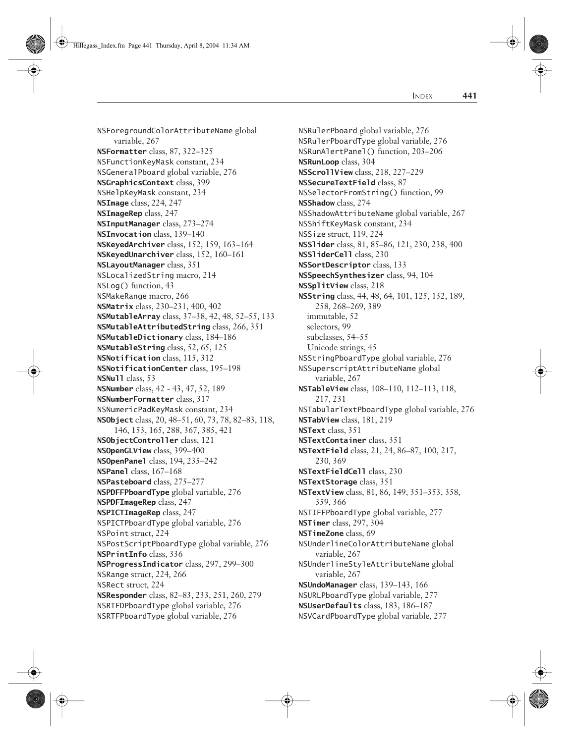NSForegroundColorAttributeName global variable, 267 **NSFormatter** class, 87, 322–325 NSFunctionKeyMask constant, 234 NSGeneralPboard global variable, 276 **NSGraphicsContext** class, 399 NSHelpKeyMask constant, 234 **NSImage** class, 224, 247 **NSImageRep** class, 247 **NSInputManager** class, 273–274 **NSInvocation** class, 139–140 **NSKeyedArchiver** class, 152, 159, 163–164 **NSKeyedUnarchiver** class, 152, 160–161 **NSLayoutManager** class, 351 NSLocalizedString macro, 214 NSLog() function, 43 NSMakeRange macro, 266 **NSMatrix** class, 230–231, 400, 402 **NSMutableArray** class, 37–38, 42, 48, 52–55, 133 **NSMutableAttributedString** class, 266, 351 **NSMutableDictionary** class, 184–186 **NSMutableString** class, 52, 65, 125 **NSNotification** class, 115, 312 **NSNotificationCenter** class, 195–198 **NSNull** class, 53 **NSNumber** class, 42 - 43, 47, 52, 189 **NSNumberFormatter** class, 317 NSNumericPadKeyMask constant, 234 **NSObject** class, 20, 48–51, 60, 73, 78, 82–83, 118, 146, 153, 165, 288, 367, 385, 421 **NSObjectController** class, 121 **NSOpenGLView** class, 399–400 **NSOpenPanel** class, 194, 235–242 **NSPanel** class, 167–168 **NSPasteboard** class, 275–277 **NSPDFFPboardType** global variable, 276 **NSPDFImageRep** class, 247 **NSPICTImageRep** class, 247 NSPICTPboardType global variable, 276 NSPoint struct, 224 NSPostScriptPboardType global variable, 276 **NSPrintInfo** class, 336 **NSProgressIndicator** class, 297, 299–300 NSRange struct, 224, 266 NSRect struct, 224 **NSResponder** class, 82–83, 233, 251, 260, 279 NSRTFDPboardType global variable, 276 NSRTFPboardType global variable, 276

NSRulerPboard global variable, 276 NSRulerPboardType global variable, 276 NSRunAlertPanel() function, 203–206 **NSRunLoop** class, 304 **NSScrollView** class, 218, 227–229 **NSSecureTextField** class, 87 NSSelectorFromString() function, 99 **NSShadow** class, 274 NSShadowAttributeName global variable, 267 NSShiftKeyMask constant, 234 NSSize struct, 119, 224 **NSSlider** class, 81, 85–86, 121, 230, 238, 400 **NSSliderCell** class, 230 **NSSortDescriptor** class, 133 **NSSpeechSynthesizer** class, 94, 104 **NSSplitView** class, 218 **NSString** class, 44, 48, 64, 101, 125, 132, 189, 258, 268–269, 389 immutable, 52 selectors, 99 subclasses, 54–55 Unicode strings, 45 NSStringPboardType global variable, 276 NSSuperscriptAttributeName global variable, 267 **NSTableView** class, 108–110, 112–113, 118, 217, 231 NSTabularTextPboardType global variable, 276 **NSTabView** class, 181, 219 **NSText** class, 351 **NSTextContainer** class, 351 **NSTextField** class, 21, 24, 86–87, 100, 217, 230, 369 **NSTextFieldCell** class, 230 **NSTextStorage** class, 351 **NSTextView** class, 81, 86, 149, 351–353, 358, 359, 366 NSTIFFPboardType global variable, 277 **NSTimer** class, 297, 304 **NSTimeZone** class, 69 NSUnderlineColorAttributeName global variable, 267 NSUnderlineStyleAttributeName global variable, 267 **NSUndoManager** class, 139–143, 166 NSURLPboardType global variable, 277 **NSUserDefaults** class, 183, 186–187 NSVCardPboardType global variable, 277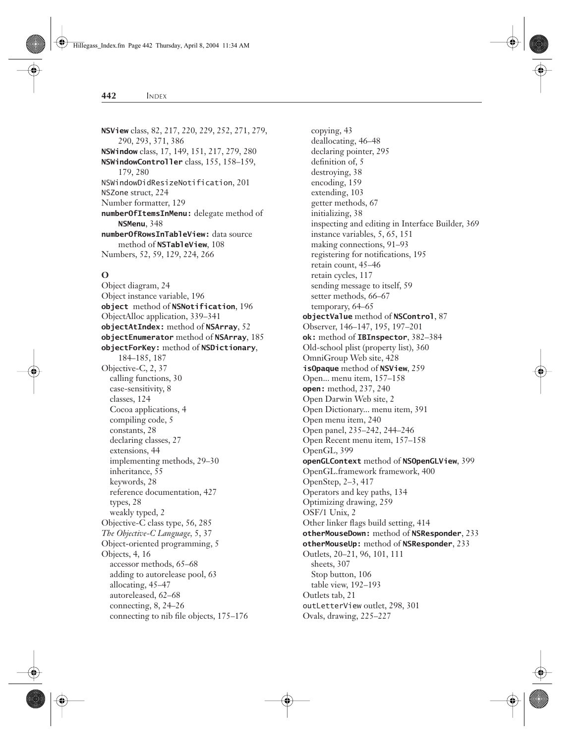**NSView** class, 82, 217, 220, 229, 252, 271, 279, 290, 293, 371, 386 **NSWindow** class, 17, 149, 151, 217, 279, 280 **NSWindowController** class, 155, 158–159, 179, 280 NSWindowDidResizeNotification, 201 NSZone struct, 224 Number formatter, 129 **numberOfItemsInMenu:** delegate method of **NSMenu**, 348 **numberOfRowsInTableView:** data source method of **NSTableView**, 108 Numbers, 52, 59, 129, 224, 266

# **O**

Object diagram, 24 Object instance variable, 196 **object** method of **NSNotification**, 196 ObjectAlloc application, 339–341 **objectAtIndex:** method of **NSArray**, 52 **objectEnumerator** method of **NSArray**, 185 **objectForKey:** method of **NSDictionary**, 184–185, 187 Objective-C, 2, 37 calling functions, 30 case-sensitivity, 8 classes, 124 Cocoa applications, 4 compiling code, 5 constants, 28 declaring classes, 27 extensions, 44 implementing methods, 29–30 inheritance, 55 keywords, 28 reference documentation, 427 types, 28 weakly typed, 2 Objective-C class type, 56, 285 *The Objective-C Language,* 5, 37 Object-oriented programming, 5 Objects, 4, 16 accessor methods, 65–68 adding to autorelease pool, 63 allocating, 45–47 autoreleased, 62–68 connecting, 8, 24–26 connecting to nib file objects, 175–176

copying, 43 deallocating, 46–48 declaring pointer, 295 definition of, 5 destroying, 38 encoding, 159 extending, 103 getter methods, 67 initializing, 38 inspecting and editing in Interface Builder, 369 instance variables, 5, 65, 151 making connections, 91–93 registering for notifications, 195 retain count, 45–46 retain cycles, 117 sending message to itself, 59 setter methods, 66–67 temporary, 64–65 **objectValue** method of **NSControl**, 87 Observer, 146–147, 195, 197–201 **ok:** method of **IBInspector**, 382–384 Old-school plist (property list), 360 OmniGroup Web site, 428 **isOpaque** method of **NSView**, 259 Open... menu item, 157–158 **open:** method, 237, 240 Open Darwin Web site, 2 Open Dictionary... menu item, 391 Open menu item, 240 Open panel, 235–242, 244–246 Open Recent menu item, 157–158 OpenGL, 399 **openGLContext** method of **NSOpenGLView**, 399 OpenGL.framework framework, 400 OpenStep, 2–3, 417 Operators and key paths, 134 Optimizing drawing, 259 OSF/1 Unix, 2 Other linker flags build setting, 414 **otherMouseDown:** method of **NSResponder**, 233 **otherMouseUp:** method of **NSResponder**, 233 Outlets, 20–21, 96, 101, 111 sheets, 307 Stop button, 106 table view, 192–193 Outlets tab, 21 outLetterView outlet, 298, 301 Ovals, drawing, 225–227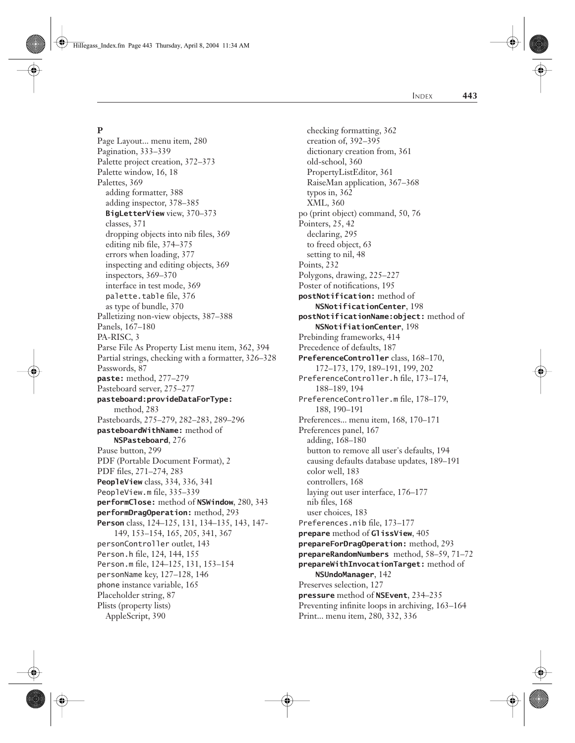Hillegass\_Index.fm Page 443 Thursday, April 8, 2004 11:34 AM

# **P**

Page Layout... menu item, 280 Pagination, 333–339 Palette project creation, 372–373 Palette window, 16, 18 Palettes, 369 adding formatter, 388 adding inspector, 378–385 **BigLetterView** view, 370–373 classes, 371 dropping objects into nib files, 369 editing nib file, 374–375 errors when loading, 377 inspecting and editing objects, 369 inspectors, 369–370 interface in test mode, 369 palette.table file, 376 as type of bundle, 370 Palletizing non-view objects, 387–388 Panels, 167–180 PA-RISC, 3 Parse File As Property List menu item, 362, 394 Partial strings, checking with a formatter, 326–328 Passwords, 87 **paste:** method, 277–279 Pasteboard server, 275–277 **pasteboard:provideDataForType:** method, 283 Pasteboards, 275–279, 282–283, 289–296 **pasteboardWithName:** method of **NSPasteboard**, 276 Pause button, 299 PDF (Portable Document Format), 2 PDF files, 271–274, 283 **PeopleView** class, 334, 336, 341 PeopleView.m file, 335–339 **performClose:** method of **NSWindow**, 280, 343 **performDragOperation:** method, 293 **Person** class, 124–125, 131, 134–135, 143, 147- 149, 153–154, 165, 205, 341, 367 personController outlet, 143 Person.h file, 124, 144, 155 Person.m file, 124–125, 131, 153–154 personName key, 127–128, 146 phone instance variable, 165 Placeholder string, 87 Plists (property lists) AppleScript, 390

checking formatting, 362 creation of, 392–395 dictionary creation from, 361 old-school, 360 PropertyListEditor, 361 RaiseMan application, 367–368 typos in, 362 XML, 360 po (print object) command, 50, 76 Pointers, 25, 42 declaring, 295 to freed object, 63 setting to nil, 48 Points, 232 Polygons, drawing, 225–227 Poster of notifications, 195 **postNotification:** method of **NSNotificationCenter**, 198 **postNotificationName:object:** method of **NSNotifiationCenter**, 198 Prebinding frameworks, 414 Precedence of defaults, 187 **PreferenceController** class, 168–170, 172–173, 179, 189–191, 199, 202 PreferenceController.h file, 173–174, 188–189, 194 PreferenceController.m file, 178–179, 188, 190–191 Preferences... menu item, 168, 170–171 Preferences panel, 167 adding, 168–180 button to remove all user's defaults, 194 causing defaults database updates, 189–191 color well, 183 controllers, 168 laying out user interface, 176–177 nib files, 168 user choices, 183 Preferences.nib file, 173–177 **prepare** method of **GlissView**, 405 **prepareForDragOperation:** method, 293 **prepareRandomNumbers** method, 58–59, 71–72 **prepareWithInvocationTarget:** method of **NSUndoManager**, 142 Preserves selection, 127 **pressure** method of **NSEvent**, 234–235 Preventing infinite loops in archiving, 163–164

Print... menu item, 280, 332, 336

INDEX **443**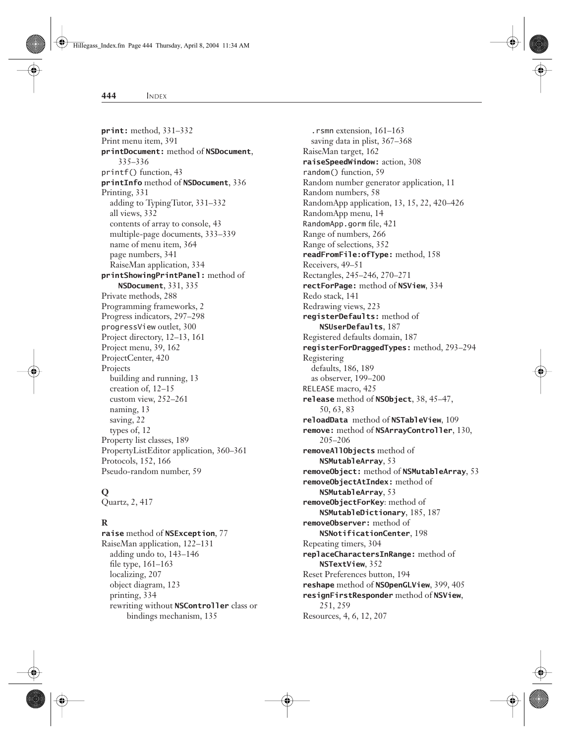**print:** method, 331–332 Print menu item, 391 **printDocument:** method of **NSDocument**, 335–336 printf() function, 43 **printInfo** method of **NSDocument**, 336 Printing, 331 adding to TypingTutor, 331–332 all views, 332 contents of array to console, 43 multiple-page documents, 333–339 name of menu item, 364 page numbers, 341 RaiseMan application, 334 **printShowingPrintPanel:** method of **NSDocument**, 331, 335 Private methods, 288 Programming frameworks, 2 Progress indicators, 297–298 progressView outlet, 300 Project directory, 12–13, 161 Project menu, 39, 162 ProjectCenter, 420 Projects building and running, 13 creation of, 12–15 custom view, 252–261 naming, 13 saving, 22 types of, 12 Property list classes, 189 PropertyListEditor application, 360–361 Protocols, 152, 166 Pseudo-random number, 59

# **Q**

Quartz, 2, 417

# **R**

**raise** method of **NSException**, 77 RaiseMan application, 122–131 adding undo to, 143–146 file type, 161–163 localizing, 207 object diagram, 123 printing, 334 rewriting without **NSController** class or bindings mechanism, 135

.rsmn extension, 161–163 saving data in plist, 367–368 RaiseMan target, 162 **raiseSpeedWindow:** action, 308 random() function, 59 Random number generator application, 11 Random numbers, 58 RandomApp application, 13, 15, 22, 420–426 RandomApp menu, 14 RandomApp.gorm file, 421 Range of numbers, 266 Range of selections, 352 **readFromFile:ofType:** method, 158 Receivers, 49–51 Rectangles, 245–246, 270–271 **rectForPage:** method of **NSView**, 334 Redo stack, 141 Redrawing views, 223 **registerDefaults:** method of **NSUserDefaults**, 187 Registered defaults domain, 187 **registerForDraggedTypes:** method, 293–294 Registering defaults, 186, 189 as observer, 199–200 RELEASE macro, 425 **release** method of **NSObject**, 38, 45–47, 50, 63, 83 **reloadData** method of **NSTableView**, 109 **remove:** method of **NSArrayController**, 130, 205–206 **removeAllObjects** method of **NSMutableArray**, 53 **removeObject:** method of **NSMutableArray**, 53 **removeObjectAtIndex:** method of **NSMutableArray**, 53 **removeObjectForKey**: method of **NSMutableDictionary**, 185, 187 **removeObserver:** method of **NSNotificationCenter**, 198 Repeating timers, 304 **replaceCharactersInRange:** method of **NSTextView**, 352 Reset Preferences button, 194 **reshape** method of **NSOpenGLView**, 399, 405 **resignFirstResponder** method of **NSView**, 251, 259

Resources, 4, 6, 12, 207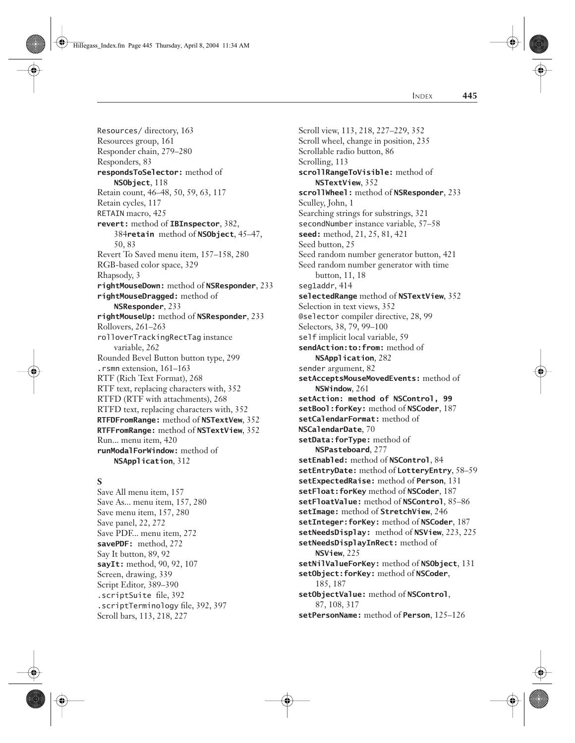Hillegass\_Index.fm Page 445 Thursday, April 8, 2004 11:34 AM

INDEX **445**

Resources/ directory, 163 Resources group, 161 Responder chain, 279–280 Responders, 83 **respondsToSelector:** method of **NSObject**, 118 Retain count, 46–48, 50, 59, 63, 117 Retain cycles, 117 RETAIN macro, 425 **revert:** method of **IBInspector**, 382, 384**retain** method of **NSObject**, 45–47, 50, 83 Revert To Saved menu item, 157–158, 280 RGB-based color space, 329 Rhapsody, 3 **rightMouseDown:** method of **NSResponder**, 233 **rightMouseDragged:** method of **NSResponder**, 233 **rightMouseUp:** method of **NSResponder**, 233 Rollovers, 261–263 rolloverTrackingRectTag instance variable, 262 Rounded Bevel Button button type, 299 .rsmn extension, 161–163 RTF (Rich Text Format), 268 RTF text, replacing characters with, 352 RTFD (RTF with attachments), 268 RTFD text, replacing characters with, 352 **RTFDFromRange:** method of **NSTextVew**, 352 **RTFFromRange:** method of **NSTextView**, 352 Run... menu item, 420 **runModalForWindow:** method of **NSApplication**, 312

# **S**

Save All menu item, 157 Save As... menu item, 157, 280 Save menu item, 157, 280 Save panel, 22, 272 Save PDF... menu item, 272 **savePDF:** method, 272 Say It button, 89, 92 **sayIt:** method, 90, 92, 107 Screen, drawing, 339 Script Editor, 389–390 .scriptSuite file, 392 .scriptTerminology file, 392, 397 Scroll bars, 113, 218, 227

Scroll view, 113, 218, 227–229, 352 Scroll wheel, change in position, 235 Scrollable radio button, 86 Scrolling, 113 **scrollRangeToVisible:** method of **NSTextView**, 352 **scrollWheel:** method of **NSResponder**, 233 Sculley, John, 1 Searching strings for substrings, 321 secondNumber instance variable, 57–58 **seed:** method, 21, 25, 81, 421 Seed button, 25 Seed random number generator button, 421 Seed random number generator with time button, 11, 18 seg1addr, 414 **selectedRange** method of **NSTextView**, 352 Selection in text views, 352 @selector compiler directive, 28, 99 Selectors, 38, 79, 99–100 self implicit local variable, 59 **sendAction:to:from:** method of **NSApplication**, 282 sender argument, 82 **setAcceptsMouseMovedEvents:** method of **NSWindow**, 261 **setAction: method of NSControl, 99 setBool:forKey:** method of **NSCoder**, 187 **setCalendarFormat:** method of **NSCalendarDate**, 70 **setData:forType:** method of **NSPasteboard**, 277 **setEnabled:** method of **NSControl**, 84 **setEntryDate:** method of **LotteryEntry**, 58–59 **setExpectedRaise:** method of **Person**, 131 **setFloat:forKey** method of **NSCoder**, 187 **setFloatValue:** method of **NSControl**, 85–86 **setImage:** method of **StretchView**, 246 **setInteger:forKey:** method of **NSCoder**, 187 **setNeedsDisplay:** method of **NSView**, 223, 225 **setNeedsDisplayInRect:** method of **NSView**, 225 **setNilValueForKey:** method of **NSObject**, 131 **setObject:forKey:** method of **NSCoder**, 185, 187 **setObjectValue:** method of **NSControl**, 87, 108, 317

**setPersonName:** method of **Person**, 125–126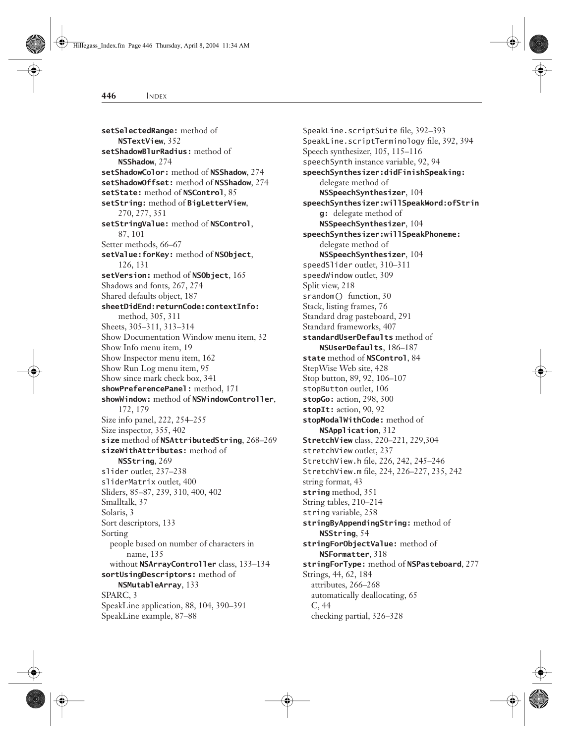**setSelectedRange:** method of **NSTextView**, 352 **setShadowBlurRadius:** method of **NSShadow**, 274 **setShadowColor:** method of **NSShadow**, 274 **setShadowOffset:** method of **NSShadow**, 274 **setState:** method of **NSControl**, 85 **setString:** method of **BigLetterView**, 270, 277, 351 **setStringValue:** method of **NSControl**, 87, 101 Setter methods, 66–67 **setValue:forKey:** method of **NSObject**, 126, 131 **setVersion:** method of **NSObject**, 165 Shadows and fonts, 267, 274 Shared defaults object, 187 **sheetDidEnd:returnCode:contextInfo:** method, 305, 311 Sheets, 305–311, 313–314 Show Documentation Window menu item, 32 Show Info menu item, 19 Show Inspector menu item, 162 Show Run Log menu item, 95 Show since mark check box, 341 **showPreferencePanel:** method, 171 **showWindow:** method of **NSWindowController**, 172, 179 Size info panel, 222, 254–255 Size inspector, 355, 402 **size** method of **NSAttributedString**, 268–269 **sizeWithAttributes:** method of **NSString**, 269 slider outlet, 237–238 sliderMatrix outlet, 400 Sliders, 85–87, 239, 310, 400, 402 Smalltalk, 37 Solaris, 3 Sort descriptors, 133 Sorting people based on number of characters in name, 135 without **NSArrayController** class, 133–134 **sortUsingDescriptors:** method of **NSMutableArray**, 133 SPARC, 3 SpeakLine application, 88, 104, 390–391 SpeakLine example, 87–88

SpeakLine.scriptSuite file, 392–393 SpeakLine.scriptTerminology file, 392, 394 Speech synthesizer, 105, 115–116 speechSynth instance variable, 92, 94 **speechSynthesizer:didFinishSpeaking:** delegate method of **NSSpeechSynthesizer**, 104 **speechSynthesizer:willSpeakWord:ofStrin g:** delegate method of **NSSpeechSynthesizer**, 104 **speechSynthesizer:willSpeakPhoneme:** delegate method of **NSSpeechSynthesizer**, 104 speedSlider outlet, 310–311 speedWindow outlet, 309 Split view, 218 srandom() function, 30 Stack, listing frames, 76 Standard drag pasteboard, 291 Standard frameworks, 407 **standardUserDefaults** method of **NSUserDefaults**, 186–187 **state** method of **NSControl**, 84 StepWise Web site, 428 Stop button, 89, 92, 106–107 stopButton outlet, 106 **stopGo:** action, 298, 300 **stopIt:** action, 90, 92 **stopModalWithCode:** method of **NSApplication**, 312 **StretchView** class, 220–221, 229,304 stretchView outlet, 237 StretchView.h file, 226, 242, 245–246 StretchView.m file, 224, 226–227, 235, 242 string format, 43 **string** method, 351 String tables, 210–214 string variable, 258 **stringByAppendingString:** method of **NSString**, 54 **stringForObjectValue:** method of **NSFormatter**, 318 **stringForType:** method of **NSPasteboard**, 277 Strings, 44, 62, 184 attributes, 266–268 automatically deallocating, 65 C, 44 checking partial, 326–328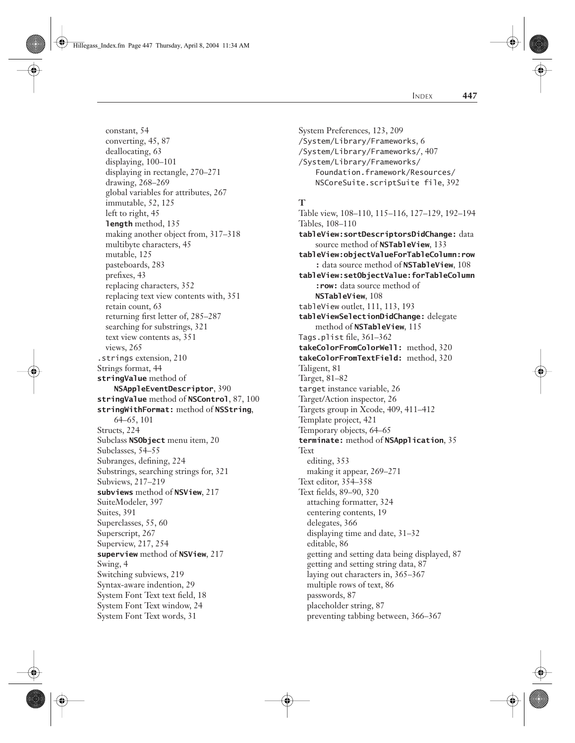Hillegass\_Index.fm Page 447 Thursday, April 8, 2004 11:34 AM

constant, 54

INDEX **447**

converting, 45, 87 deallocating, 63 displaying, 100–101 displaying in rectangle, 270–271 drawing, 268–269 global variables for attributes, 267 immutable, 52, 125 left to right, 45 **length** method, 135 making another object from, 317–318 multibyte characters, 45 mutable, 125 pasteboards, 283 prefixes, 43 replacing characters, 352 replacing text view contents with, 351 retain count, 63 returning first letter of, 285–287 searching for substrings, 321 text view contents as, 351 views, 265 .strings extension, 210 Strings format, 44 **stringValue** method of **NSAppleEventDescriptor**, 390 **stringValue** method of **NSControl**, 87, 100 **stringWithFormat:** method of **NSString**, 64–65, 101 Structs, 224 Subclass **NSObject** menu item, 20 Subclasses, 54–55 Subranges, defining, 224 Substrings, searching strings for, 321 Subviews, 217–219 **subviews** method of **NSView**, 217 SuiteModeler, 397 Suites, 391 Superclasses, 55, 60 Superscript, 267 Superview, 217, 254 **superview** method of **NSView**, 217 Swing, 4 Switching subviews, 219 Syntax-aware indention, 29 System Font Text text field, 18 System Font Text window, 24 System Font Text words, 31

/System/Library/Frameworks, 6 /System/Library/Frameworks/, 407 /System/Library/Frameworks/ Foundation.framework/Resources/ NSCoreSuite.scriptSuite file, 392 **T** Table view, 108–110, 115–116, 127–129, 192–194 Tables, 108–110 **tableView:sortDescriptorsDidChange:** data source method of **NSTableView**, 133 **tableView:objectValueForTableColumn:row :** data source method of **NSTableView**, 108 **tableView:setObjectValue:forTableColumn :row:** data source method of **NSTableView**, 108 tableView outlet, 111, 113, 193 **tableViewSelectionDidChange:** delegate method of **NSTableView**, 115 Tags.plist file, 361–362 **takeColorFromColorWell:** method, 320 **takeColorFromTextField:** method, 320 Taligent, 81 Target, 81–82 target instance variable, 26 Target/Action inspector, 26 Targets group in Xcode, 409, 411–412 Template project, 421 Temporary objects, 64–65 **terminate:** method of **NSApplication**, 35 Text editing, 353 making it appear, 269–271 Text editor, 354–358 Text fields, 89–90, 320 attaching formatter, 324 centering contents, 19 delegates, 366 displaying time and date, 31–32 editable, 86 getting and setting data being displayed, 87 getting and setting string data, 87 laying out characters in, 365–367 multiple rows of text, 86 passwords, 87 placeholder string, 87 preventing tabbing between, 366–367

System Preferences, 123, 209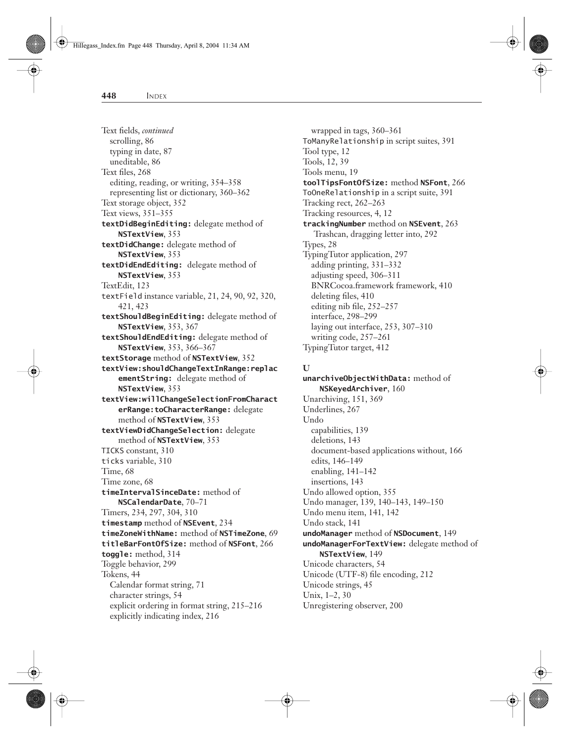Text fields, *continued* scrolling, 86 typing in date, 87 uneditable, 86 Text files, 268 editing, reading, or writing, 354–358 representing list or dictionary, 360–362 Text storage object, 352 Text views, 351–355 **textDidBeginEditing:** delegate method of **NSTextView**, 353 **textDidChange:** delegate method of **NSTextView**, 353 **textDidEndEditing:** delegate method of **NSTextView**, 353 TextEdit, 123 textField instance variable, 21, 24, 90, 92, 320, 421, 423 **textShouldBeginEditing:** delegate method of **NSTextView**, 353, 367 **textShouldEndEditing:** delegate method of **NSTextView**, 353, 366–367 **textStorage** method of **NSTextView**, 352 **textView:shouldChangeTextInRange:replac ementString:** delegate method of **NSTextView**, 353 **textView:willChangeSelectionFromCharact erRange:toCharacterRange:** delegate method of **NSTextView**, 353 **textViewDidChangeSelection:** delegate method of **NSTextView**, 353 TICKS constant, 310 ticks variable, 310 Time, 68 Time zone, 68 **timeIntervalSinceDate:** method of **NSCalendarDate**, 70–71 Timers, 234, 297, 304, 310 **timestamp** method of **NSEvent**, 234 **timeZoneWithName:** method of **NSTimeZone**, 69 **titleBarFontOfSize:** method of **NSFont**, 266 **toggle:** method, 314 Toggle behavior, 299 Tokens, 44 Calendar format string, 71 character strings, 54 explicit ordering in format string, 215–216 explicitly indicating index, 216

wrapped in tags, 360–361 ToManyRelationship in script suites, 391 Tool type, 12 Tools, 12, 39 Tools menu, 19 **toolTipsFontOfSize:** method **NSFont**, 266 ToOneRelationship in a script suite, 391 Tracking rect, 262–263 Tracking resources, 4, 12 **trackingNumber** method on **NSEvent**, 263 Trashcan, dragging letter into, 292 Types, 28 TypingTutor application, 297 adding printing, 331–332 adjusting speed, 306–311 BNRCocoa.framework framework, 410 deleting files, 410 editing nib file, 252–257 interface, 298–299 laying out interface, 253, 307–310 writing code, 257–261 TypingTutor target, 412

### **U**

**unarchiveObjectWithData:** method of **NSKeyedArchiver**, 160 Unarchiving, 151, 369 Underlines, 267 Undo capabilities, 139 deletions, 143 document-based applications without, 166 edits, 146–149 enabling, 141–142 insertions, 143 Undo allowed option, 355 Undo manager, 139, 140–143, 149–150 Undo menu item, 141, 142 Undo stack, 141 **undoManager** method of **NSDocument**, 149 **undoManagerForTextView:** delegate method of **NSTextView**, 149 Unicode characters, 54 Unicode (UTF-8) file encoding, 212 Unicode strings, 45 Unix, 1–2, 30 Unregistering observer, 200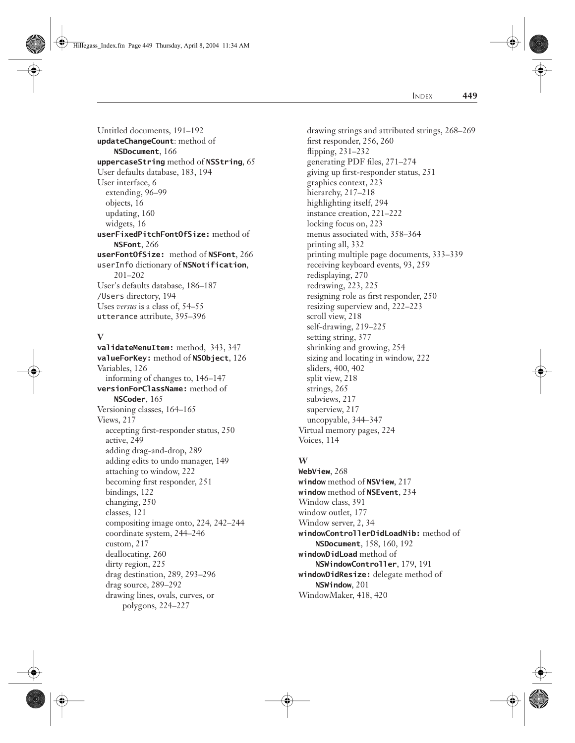Hillegass\_Index.fm Page 449 Thursday, April 8, 2004 11:34 AM

INDEX **449**

Untitled documents, 191–192 **updateChangeCount**: method of **NSDocument**, 166 **uppercaseString** method of **NSString**, 65 User defaults database, 183, 194 User interface, 6 extending, 96–99 objects, 16 updating, 160 widgets, 16 **userFixedPitchFontOfSize:** method of **NSFont**, 266 **userFontOfSize:** method of **NSFont**, 266 userInfo dictionary of **NSNotification**, 201–202 User's defaults database, 186–187 /Users directory, 194 Uses *versus* is a class of, 54–55 utterance attribute, 395–396

# **V**

**validateMenuItem:** method, 343, 347 **valueForKey:** method of **NSObject**, 126 Variables, 126 informing of changes to, 146–147 **versionForClassName:** method of **NSCoder**, 165 Versioning classes, 164–165 Views, 217 accepting first-responder status, 250 active, 249 adding drag-and-drop, 289 adding edits to undo manager, 149 attaching to window, 222 becoming first responder, 251 bindings, 122 changing, 250 classes, 121 compositing image onto, 224, 242–244 coordinate system, 244–246 custom, 217 deallocating, 260 dirty region, 225 drag destination, 289, 293–296 drag source, 289–292 drawing lines, ovals, curves, or polygons, 224–227

drawing strings and attributed strings, 268–269 first responder, 256, 260 flipping, 231–232 generating PDF files, 271–274 giving up first-responder status, 251 graphics context, 223 hierarchy, 217–218 highlighting itself, 294 instance creation, 221–222 locking focus on, 223 menus associated with, 358–364 printing all, 332 printing multiple page documents, 333–339 receiving keyboard events, 93, 259 redisplaying, 270 redrawing, 223, 225 resigning role as first responder, 250 resizing superview and, 222–223 scroll view, 218 self-drawing, 219–225 setting string, 377 shrinking and growing, 254 sizing and locating in window, 222 sliders, 400, 402 split view, 218 strings, 265 subviews, 217 superview, 217 uncopyable, 344–347 Virtual memory pages, 224 Voices, 114

# **W**

**WebView**, 268 **window** method of **NSView**, 217 **window** method of **NSEvent**, 234 Window class, 391 window outlet, 177 Window server, 2, 34 **windowControllerDidLoadNib:** method of **NSDocument**, 158, 160, 192 **windowDidLoad** method of **NSWindowController**, 179, 191 **windowDidResize:** delegate method of **NSWindow**, 201 WindowMaker, 418, 420